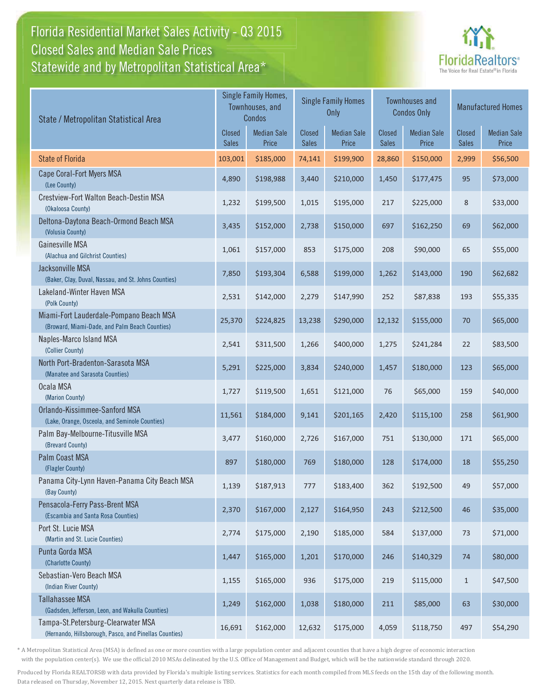## Florida Residential Market Sales Activity - Q3 2015 Statewide and by Metropolitan Statistical Area $^{\star}$ Closed Sales and Median Sale Prices



| State / Metropolitan Statistical Area                                                        |         | Single Family Homes,<br>Townhouses, and<br>Condos |                        | <b>Single Family Homes</b><br>Only |                        | <b>Townhouses and</b><br><b>Condos Only</b> |                        | <b>Manufactured Homes</b>   |  |
|----------------------------------------------------------------------------------------------|---------|---------------------------------------------------|------------------------|------------------------------------|------------------------|---------------------------------------------|------------------------|-----------------------------|--|
|                                                                                              |         | <b>Median Sale</b><br>Price                       | Closed<br><b>Sales</b> | <b>Median Sale</b><br>Price        | <b>Closed</b><br>Sales | <b>Median Sale</b><br>Price                 | Closed<br><b>Sales</b> | <b>Median Sale</b><br>Price |  |
| <b>State of Florida</b>                                                                      | 103,001 | \$185,000                                         | 74,141                 | \$199,900                          | 28,860                 | \$150,000                                   | 2,999                  | \$56,500                    |  |
| Cape Coral-Fort Myers MSA<br>(Lee County)                                                    | 4,890   | \$198,988                                         | 3,440                  | \$210,000                          | 1,450                  | \$177,475                                   | 95                     | \$73,000                    |  |
| Crestview-Fort Walton Beach-Destin MSA<br>(Okaloosa County)                                  | 1,232   | \$199,500                                         | 1,015                  | \$195,000                          | 217                    | \$225,000                                   | 8                      | \$33,000                    |  |
| Deltona-Daytona Beach-Ormond Beach MSA<br>(Volusia County)                                   | 3,435   | \$152,000                                         | 2,738                  | \$150,000                          | 697                    | \$162,250                                   | 69                     | \$62,000                    |  |
| Gainesville MSA<br>(Alachua and Gilchrist Counties)                                          | 1,061   | \$157,000                                         | 853                    | \$175,000                          | 208                    | \$90,000                                    | 65                     | \$55,000                    |  |
| Jacksonville MSA<br>(Baker, Clay, Duval, Nassau, and St. Johns Counties)                     | 7,850   | \$193,304                                         | 6,588                  | \$199,000                          | 1,262                  | \$143,000                                   | 190                    | \$62,682                    |  |
| Lakeland-Winter Haven MSA<br>(Polk County)                                                   | 2,531   | \$142,000                                         | 2,279                  | \$147,990                          | 252                    | \$87,838                                    | 193                    | \$55,335                    |  |
| Miami-Fort Lauderdale-Pompano Beach MSA<br>(Broward, Miami-Dade, and Palm Beach Counties)    | 25,370  | \$224,825                                         | 13,238                 | \$290,000                          | 12,132                 | \$155,000                                   | 70                     | \$65,000                    |  |
| Naples-Marco Island MSA<br>(Collier County)                                                  | 2,541   | \$311,500                                         | 1,266                  | \$400,000                          | 1,275                  | \$241,284                                   | 22                     | \$83,500                    |  |
| North Port-Bradenton-Sarasota MSA<br>(Manatee and Sarasota Counties)                         | 5,291   | \$225,000                                         | 3,834                  | \$240,000                          | 1,457                  | \$180,000                                   | 123                    | \$65,000                    |  |
| Ocala MSA<br>(Marion County)                                                                 | 1,727   | \$119,500                                         | 1,651                  | \$121,000                          | 76                     | \$65,000                                    | 159                    | \$40,000                    |  |
| Orlando-Kissimmee-Sanford MSA<br>(Lake, Orange, Osceola, and Seminole Counties)              | 11,561  | \$184,000                                         | 9,141                  | \$201,165                          | 2,420                  | \$115,100                                   | 258                    | \$61,900                    |  |
| Palm Bay-Melbourne-Titusville MSA<br>(Brevard County)                                        | 3,477   | \$160,000                                         | 2,726                  | \$167,000                          | 751                    | \$130,000                                   | 171                    | \$65,000                    |  |
| <b>Palm Coast MSA</b><br>(Flagler County)                                                    | 897     | \$180,000                                         | 769                    | \$180,000                          | 128                    | \$174,000                                   | 18                     | \$55,250                    |  |
| Panama City-Lynn Haven-Panama City Beach MSA<br>(Bay County)                                 | 1,139   | \$187,913                                         | 777                    | \$183,400                          | 362                    | \$192,500                                   | 49                     | \$57,000                    |  |
| Pensacola-Ferry Pass-Brent MSA<br>(Escambia and Santa Rosa Counties)                         | 2,370   | \$167,000                                         | 2,127                  | \$164,950                          | 243                    | \$212,500                                   | 46                     | \$35,000                    |  |
| Port St. Lucie MSA<br>(Martin and St. Lucie Counties)                                        | 2,774   | \$175,000                                         | 2,190                  | \$185,000                          | 584                    | \$137,000                                   | 73                     | \$71,000                    |  |
| Punta Gorda MSA<br>(Charlotte County)                                                        | 1,447   | \$165,000                                         | 1,201                  | \$170,000                          | 246                    | \$140,329                                   | 74                     | \$80,000                    |  |
| Sebastian-Vero Beach MSA<br>(Indian River County)                                            | 1,155   | \$165,000                                         | 936                    | \$175,000                          | 219                    | \$115,000                                   | $\mathbf{1}$           | \$47,500                    |  |
| <b>Tallahassee MSA</b><br>(Gadsden, Jefferson, Leon, and Wakulla Counties)                   | 1,249   | \$162,000                                         | 1,038                  | \$180,000                          | 211                    | \$85,000                                    | 63                     | \$30,000                    |  |
| Tampa-St.Petersburg-Clearwater MSA<br>(Hernando, Hillsborough, Pasco, and Pinellas Counties) | 16,691  | \$162,000                                         | 12,632                 | \$175,000                          | 4,059                  | \$118,750                                   | 497                    | \$54,290                    |  |

\* A Metropolitan Statistical Area (MSA) is defined as one or more counties with a large population center and adjacent counties that have a high degree of economic interaction with the population center(s). We use the official 2010 MSAs delineated by the U.S. Office of Management and Budget, which will be the nationwide standard through 2020.

Produced by Florida REALTORS® with data provided by Florida's multiple listing services. Statistics for each month compiled from MLS feeds on the 15th day of the following month. Data released on Thursday, November 12, 2015. Next quarterly data release is TBD.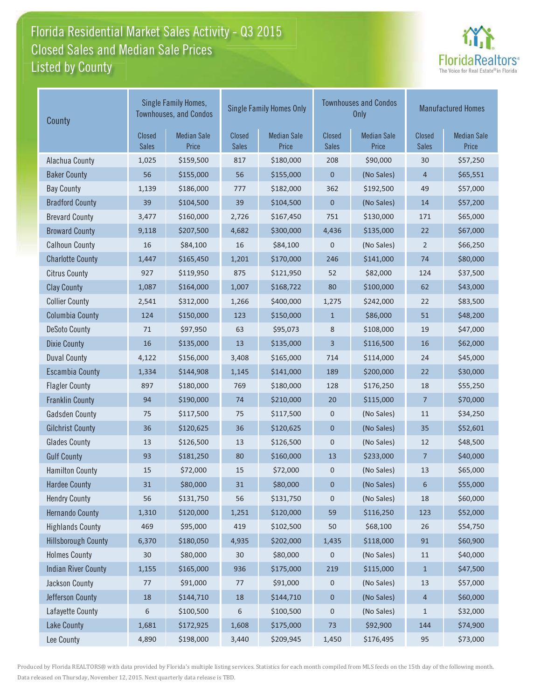## Florida Residential Market Sales Activity - Q3 2015 Listed by County-Closed Sales and Median Sale Prices



| County                     | Single Family Homes,<br><b>Townhouses, and Condos</b> |                             |                        | <b>Single Family Homes Only</b> |                        | <b>Townhouses and Condos</b><br><b>Only</b> | <b>Manufactured Homes</b>     |                             |  |
|----------------------------|-------------------------------------------------------|-----------------------------|------------------------|---------------------------------|------------------------|---------------------------------------------|-------------------------------|-----------------------------|--|
|                            | <b>Closed</b><br><b>Sales</b>                         | <b>Median Sale</b><br>Price | Closed<br><b>Sales</b> | <b>Median Sale</b><br>Price     | Closed<br><b>Sales</b> | <b>Median Sale</b><br>Price                 | <b>Closed</b><br><b>Sales</b> | <b>Median Sale</b><br>Price |  |
| Alachua County             | 1,025                                                 | \$159,500                   | 817                    | \$180,000                       | 208                    | \$90,000                                    | 30                            | \$57,250                    |  |
| <b>Baker County</b>        | 56                                                    | \$155,000                   | 56                     | \$155,000                       | $\mathbf 0$            | (No Sales)                                  | $\overline{4}$                | \$65,551                    |  |
| <b>Bay County</b>          | 1,139                                                 | \$186,000                   | 777                    | \$182,000                       | 362                    | \$192,500                                   | 49                            | \$57,000                    |  |
| <b>Bradford County</b>     | 39                                                    | \$104,500                   | 39                     | \$104,500                       | 0                      | (No Sales)                                  | 14                            | \$57,200                    |  |
| <b>Brevard County</b>      | 3,477                                                 | \$160,000                   | 2,726                  | \$167,450                       | 751                    | \$130,000                                   | 171                           | \$65,000                    |  |
| <b>Broward County</b>      | 9,118                                                 | \$207,500                   | 4,682                  | \$300,000                       | 4,436                  | \$135,000                                   | 22                            | \$67,000                    |  |
| <b>Calhoun County</b>      | 16                                                    | \$84,100                    | 16                     | \$84,100                        | 0                      | (No Sales)                                  | $\overline{2}$                | \$66,250                    |  |
| <b>Charlotte County</b>    | 1,447                                                 | \$165,450                   | 1,201                  | \$170,000                       | 246                    | \$141,000                                   | 74                            | \$80,000                    |  |
| <b>Citrus County</b>       | 927                                                   | \$119,950                   | 875                    | \$121,950                       | 52                     | \$82,000                                    | 124                           | \$37,500                    |  |
| <b>Clay County</b>         | 1,087                                                 | \$164,000                   | 1,007                  | \$168,722                       | 80                     | \$100,000                                   | 62                            | \$43,000                    |  |
| <b>Collier County</b>      | 2,541                                                 | \$312,000                   | 1,266                  | \$400,000                       | 1,275                  | \$242,000                                   | 22                            | \$83,500                    |  |
| <b>Columbia County</b>     | 124                                                   | \$150,000                   | 123                    | \$150,000                       | $\mathbf{1}$           | \$86,000                                    | 51                            | \$48,200                    |  |
| <b>DeSoto County</b>       | 71                                                    | \$97,950                    | 63                     | \$95,073                        | 8                      | \$108,000                                   | 19                            | \$47,000                    |  |
| <b>Dixie County</b>        | 16                                                    | \$135,000                   | 13                     | \$135,000                       | 3                      | \$116,500                                   | 16                            | \$62,000                    |  |
| <b>Duval County</b>        | 4,122                                                 | \$156,000                   | 3,408                  | \$165,000                       | 714                    | \$114,000                                   | 24                            | \$45,000                    |  |
| <b>Escambia County</b>     | 1,334                                                 | \$144,908                   | 1,145                  | \$141,000                       | 189                    | \$200,000                                   | 22                            | \$30,000                    |  |
| <b>Flagler County</b>      | 897                                                   | \$180,000                   | 769                    | \$180,000                       | 128                    | \$176,250                                   | 18                            | \$55,250                    |  |
| <b>Franklin County</b>     | 94                                                    | \$190,000                   | 74                     | \$210,000                       | 20                     | \$115,000                                   | $\overline{7}$                | \$70,000                    |  |
| <b>Gadsden County</b>      | 75                                                    | \$117,500                   | 75                     | \$117,500                       | 0                      | (No Sales)                                  | 11                            | \$34,250                    |  |
| <b>Gilchrist County</b>    | 36                                                    | \$120,625                   | 36                     | \$120,625                       | $\pmb{0}$              | (No Sales)                                  | 35                            | \$52,601                    |  |
| <b>Glades County</b>       | 13                                                    | \$126,500                   | 13                     | \$126,500                       | 0                      | (No Sales)                                  | 12                            | \$48,500                    |  |
| <b>Gulf County</b>         | 93                                                    | \$181,250                   | 80                     | \$160,000                       | 13                     | \$233,000                                   | $\overline{7}$                | \$40,000                    |  |
| <b>Hamilton County</b>     | 15                                                    | \$72,000                    | 15                     | \$72,000                        | 0                      | (No Sales)                                  | 13                            | \$65,000                    |  |
| <b>Hardee County</b>       | 31                                                    | \$80,000                    | 31                     | \$80,000                        | 0                      | (No Sales)                                  | 6                             | \$55,000                    |  |
| <b>Hendry County</b>       | 56                                                    | \$131,750                   | 56                     | \$131,750                       | 0                      | (No Sales)                                  | 18                            | \$60,000                    |  |
| <b>Hernando County</b>     | 1,310                                                 | \$120,000                   | 1,251                  | \$120,000                       | 59                     | \$116,250                                   | 123                           | \$52,000                    |  |
| <b>Highlands County</b>    | 469                                                   | \$95,000                    | 419                    | \$102,500                       | 50                     | \$68,100                                    | 26                            | \$54,750                    |  |
| <b>Hillsborough County</b> | 6,370                                                 | \$180,050                   | 4,935                  | \$202,000                       | 1,435                  | \$118,000                                   | 91                            | \$60,900                    |  |
| <b>Holmes County</b>       | $30\,$                                                | \$80,000                    | 30                     | \$80,000                        | 0                      | (No Sales)                                  | 11                            | \$40,000                    |  |
| <b>Indian River County</b> | 1,155                                                 | \$165,000                   | 936                    | \$175,000                       | 219                    | \$115,000                                   | $\mathbf{1}$                  | \$47,500                    |  |
| Jackson County             | 77                                                    | \$91,000                    | 77                     | \$91,000                        | 0                      | (No Sales)                                  | 13                            | \$57,000                    |  |
| Jefferson County           | $18\,$                                                | \$144,710                   | $18\,$                 | \$144,710                       | 0                      | (No Sales)                                  | 4                             | \$60,000                    |  |
| Lafayette County           | 6                                                     | \$100,500                   | 6                      | \$100,500                       | 0                      | (No Sales)                                  | $\mathbf{1}$                  | \$32,000                    |  |
| <b>Lake County</b>         | 1,681                                                 | \$172,925                   | 1,608                  | \$175,000                       | 73                     | \$92,900                                    | 144                           | \$74,900                    |  |
| Lee County                 | 4,890                                                 | \$198,000                   | 3,440                  | \$209,945                       | 1,450                  | \$176,495                                   | 95                            | \$73,000                    |  |

Produced by Florida REALTORS® with data provided by Florida's multiple listing services. Statistics for each month compiled from MLS feeds on the 15th day of the following month. Data released on Thursday, November 12, 2015. Next quarterly data release is TBD.